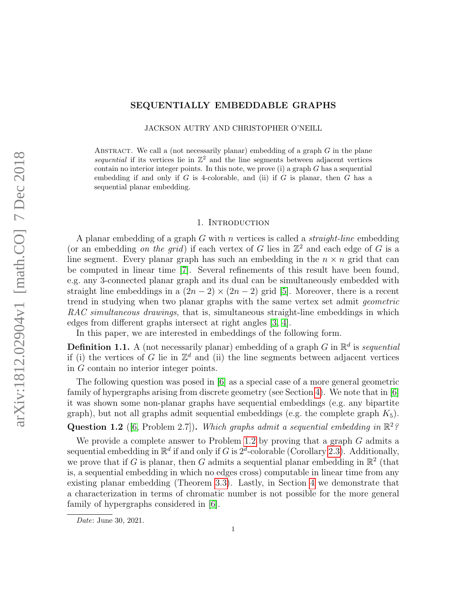# SEQUENTIALLY EMBEDDABLE GRAPHS

JACKSON AUTRY AND CHRISTOPHER O'NEILL

ABSTRACT. We call a (not necessarily planar) embedding of a graph  $G$  in the plane sequential if its vertices lie in  $\mathbb{Z}^2$  and the line segments between adjacent vertices contain no interior integer points. In this note, we prove  $(i)$  a graph G has a sequential embedding if and only if  $G$  is 4-colorable, and (ii) if  $G$  is planar, then  $G$  has a sequential planar embedding.

### 1. INTRODUCTION

A planar embedding of a graph  $G$  with n vertices is called a *straight-line* embedding (or an embedding on the grid) if each vertex of G lies in  $\mathbb{Z}^2$  and each edge of G is a line segment. Every planar graph has such an embedding in the  $n \times n$  grid that can be computed in linear time [\[7\]](#page-5-0). Several refinements of this result have been found, e.g. any 3-connected planar graph and its dual can be simultaneously embedded with straight line embeddings in a  $(2n-2) \times (2n-2)$  grid [\[5\]](#page-5-1). Moreover, there is a recent trend in studying when two planar graphs with the same vertex set admit geometric RAC simultaneous drawings, that is, simultaneous straight-line embeddings in which edges from different graphs intersect at right angles [\[3,](#page-5-2) [4\]](#page-5-3).

In this paper, we are interested in embeddings of the following form.

<span id="page-0-1"></span>**Definition 1.1.** A (not necessarily planar) embedding of a graph G in  $\mathbb{R}^d$  is sequential if (i) the vertices of G lie in  $\mathbb{Z}^d$  and (ii) the line segments between adjacent vertices in G contain no interior integer points.

The following question was posed in [\[6\]](#page-5-4) as a special case of a more general geometric family of hypergraphs arising from discrete geometry (see Section [4\)](#page-3-0). We note that in [\[6\]](#page-5-4) it was shown some non-planar graphs have sequential embeddings (e.g. any bipartite graph), but not all graphs admit sequential embeddings (e.g. the complete graph  $K_5$ ). Question 1.2 ([\[6,](#page-5-4) Problem 2.7]). Which graphs admit a sequential embedding in  $\mathbb{R}^2$ ?

<span id="page-0-0"></span>We provide a complete answer to Problem [1.2](#page-0-0) by proving that a graph  $G$  admits a sequential embedding in  $\mathbb{R}^d$  if and only if G is  $2^d$ -colorable (Corollary [2.3\)](#page-1-0). Additionally, we prove that if G is planar, then G admits a sequential planar embedding in  $\mathbb{R}^2$  (that is, a sequential embedding in which no edges cross) computable in linear time from any existing planar embedding (Theorem [3.3\)](#page-2-0). Lastly, in Section [4](#page-3-0) we demonstrate that a characterization in terms of chromatic number is not possible for the more general family of hypergraphs considered in [\[6\]](#page-5-4).

Date: June 30, 2021.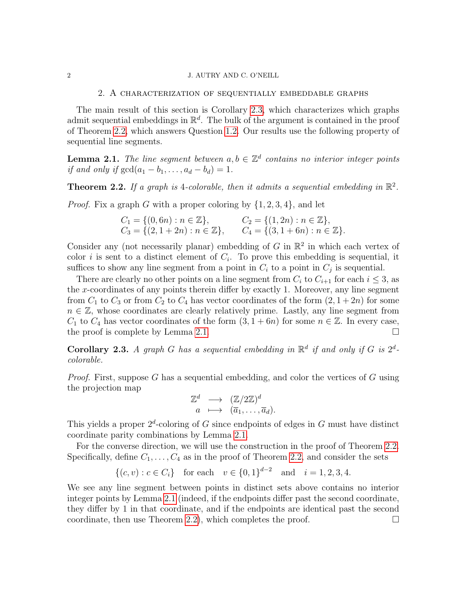#### 2 J. AUTRY AND C. O'NEILL

## 2. A characterization of sequentially embeddable graphs

The main result of this section is Corollary [2.3,](#page-1-0) which characterizes which graphs admit sequential embeddings in  $\mathbb{R}^d$ . The bulk of the argument is contained in the proof of Theorem [2.2,](#page-1-1) which answers Question [1.2.](#page-0-0) Our results use the following property of sequential line segments.

<span id="page-1-2"></span>**Lemma 2.1.** The line segment between  $a, b \in \mathbb{Z}^d$  contains no interior integer points if and only if  $gcd(a_1 - b_1, \ldots, a_d - b_d) = 1$ .

<span id="page-1-1"></span>**Theorem 2.2.** If a graph is 4-colorable, then it admits a sequential embedding in  $\mathbb{R}^2$ .

*Proof.* Fix a graph G with a proper coloring by  $\{1, 2, 3, 4\}$ , and let

$$
C_1 = \{(0, 6n) : n \in \mathbb{Z}\}, \qquad C_2 = \{(1, 2n) : n \in \mathbb{Z}\},
$$
  
\n
$$
C_3 = \{(2, 1 + 2n) : n \in \mathbb{Z}\}, \qquad C_4 = \{(3, 1 + 6n) : n \in \mathbb{Z}\}.
$$

Consider any (not necessarily planar) embedding of  $G$  in  $\mathbb{R}^2$  in which each vertex of color i is sent to a distinct element of  $C_i$ . To prove this embedding is sequential, it suffices to show any line segment from a point in  $C_i$  to a point in  $C_j$  is sequential.

There are clearly no other points on a line segment from  $C_i$  to  $C_{i+1}$  for each  $i \leq 3$ , as the x-coordinates of any points therein differ by exactly 1. Moreover, any line segment from  $C_1$  to  $C_3$  or from  $C_2$  to  $C_4$  has vector coordinates of the form  $(2, 1+2n)$  for some  $n \in \mathbb{Z}$ , whose coordinates are clearly relatively prime. Lastly, any line segment from  $C_1$  to  $C_4$  has vector coordinates of the form  $(3, 1+6n)$  for some  $n \in \mathbb{Z}$ . In every case, the proof is complete by Lemma [2.1.](#page-1-2)  $\square$ 

<span id="page-1-0"></span>Corollary 2.3. A graph G has a sequential embedding in  $\mathbb{R}^d$  if and only if G is  $2^d$ colorable.

*Proof.* First, suppose G has a sequential embedding, and color the vertices of G using the projection map

$$
\mathbb{Z}^d \longrightarrow (\mathbb{Z}/2\mathbb{Z})^d
$$
  
 $a \longmapsto (\overline{a}_1, \dots, \overline{a}_d).$ 

This yields a proper  $2^d$ -coloring of G since endpoints of edges in G must have distinct coordinate parity combinations by Lemma [2.1.](#page-1-2)

For the converse direction, we will use the construction in the proof of Theorem [2.2.](#page-1-1) Specifically, define  $C_1, \ldots, C_4$  as in the proof of Theorem [2.2,](#page-1-1) and consider the sets

$$
\{(c, v) : c \in C_i\} \quad \text{for each} \quad v \in \{0, 1\}^{d-2} \quad \text{and} \quad i = 1, 2, 3, 4.
$$

We see any line segment between points in distinct sets above contains no interior integer points by Lemma [2.1](#page-1-2) (indeed, if the endpoints differ past the second coordinate, they differ by 1 in that coordinate, and if the endpoints are identical past the second coordinate, then use Theorem [2.2\)](#page-1-1), which completes the proof.  $\Box$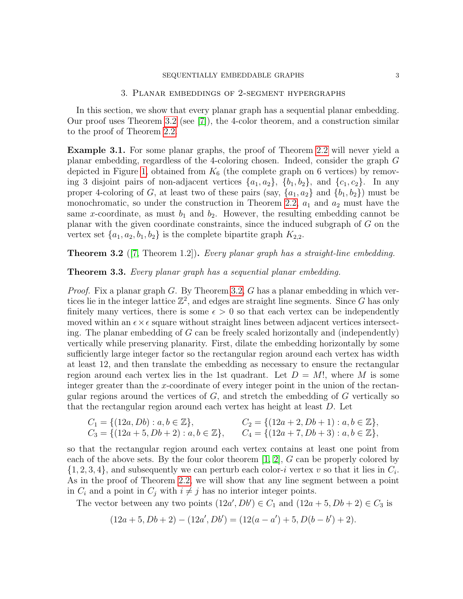#### SEQUENTIALLY EMBEDDABLE GRAPHS 3

### 3. Planar embeddings of 2-segment hypergraphs

In this section, we show that every planar graph has a sequential planar embedding. Our proof uses Theorem [3.2](#page-2-1) (see [\[7\]](#page-5-0)), the 4-color theorem, and a construction similar to the proof of Theorem [2.2.](#page-1-1)

<span id="page-2-2"></span>Example 3.1. For some planar graphs, the proof of Theorem [2.2](#page-1-1) will never yield a planar embedding, regardless of the 4-coloring chosen. Indeed, consider the graph G depicted in Figure [1,](#page-3-1) obtained from  $K_6$  (the complete graph on 6 vertices) by removing 3 disjoint pairs of non-adjacent vertices  $\{a_1, a_2\}$ ,  $\{b_1, b_2\}$ , and  $\{c_1, c_2\}$ . In any proper 4-coloring of G, at least two of these pairs (say,  $\{a_1, a_2\}$  and  $\{b_1, b_2\}$ ) must be monochromatic, so under the construction in Theorem [2.2,](#page-1-1)  $a_1$  and  $a_2$  must have the same x-coordinate, as must  $b_1$  and  $b_2$ . However, the resulting embedding cannot be planar with the given coordinate constraints, since the induced subgraph of G on the vertex set  $\{a_1, a_2, b_1, b_2\}$  is the complete bipartite graph  $K_{2,2}$ .

<span id="page-2-1"></span>**Theorem 3.2** ([\[7,](#page-5-0) Theorem 1.2]). Every planar graph has a straight-line embedding.

<span id="page-2-0"></span>Theorem 3.3. Every planar graph has a sequential planar embedding.

*Proof.* Fix a planar graph G. By Theorem [3.2,](#page-2-1) G has a planar embedding in which vertices lie in the integer lattice  $\mathbb{Z}^2$ , and edges are straight line segments. Since G has only finitely many vertices, there is some  $\epsilon > 0$  so that each vertex can be independently moved within an  $\epsilon \times \epsilon$  square without straight lines between adjacent vertices intersecting. The planar embedding of G can be freely scaled horizontally and (independently) vertically while preserving planarity. First, dilate the embedding horizontally by some sufficiently large integer factor so the rectangular region around each vertex has width at least 12, and then translate the embedding as necessary to ensure the rectangular region around each vertex lies in the 1st quadrant. Let  $D = M!$ , where M is some integer greater than the x-coordinate of every integer point in the union of the rectangular regions around the vertices of  $G$ , and stretch the embedding of  $G$  vertically so that the rectangular region around each vertex has height at least D. Let

$$
C_1 = \{ (12a, Db) : a, b \in \mathbb{Z} \},
$$
  
\n
$$
C_2 = \{ (12a + 2, Db + 1) : a, b \in \mathbb{Z} \},
$$
  
\n
$$
C_3 = \{ (12a + 5, Db + 2) : a, b \in \mathbb{Z} \},
$$
  
\n
$$
C_4 = \{ (12a + 7, Db + 3) : a, b \in \mathbb{Z} \},
$$

so that the rectangular region around each vertex contains at least one point from each of the above sets. By the four color theorem  $[1, 2]$  $[1, 2]$ , G can be properly colored by  $\{1, 2, 3, 4\}$ , and subsequently we can perturb each color-*i* vertex v so that it lies in  $C_i$ . As in the proof of Theorem [2.2,](#page-1-1) we will show that any line segment between a point in  $C_i$  and a point in  $C_j$  with  $i \neq j$  has no interior integer points.

The vector between any two points  $(12a', Db') \in C_1$  and  $(12a + 5, Db + 2) \in C_3$  is

$$
(12a + 5, Db + 2) - (12a', Db') = (12(a - a') + 5, D(b - b') + 2).
$$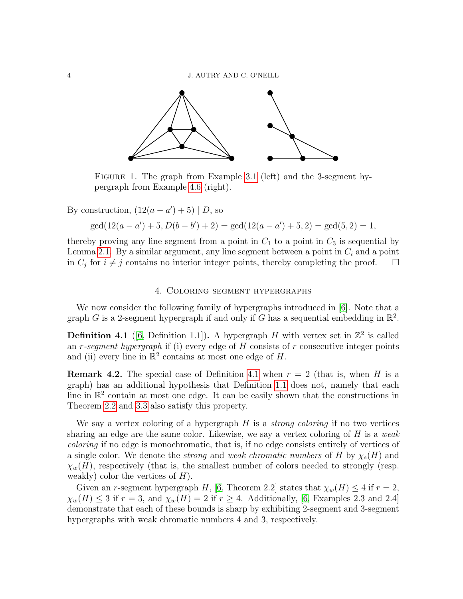

<span id="page-3-1"></span>Figure 1. The graph from Example [3.1](#page-2-2) (left) and the 3-segment hypergraph from Example [4.6](#page-5-7) (right).

By construction,  $(12(a - a') + 5) | D$ , so

 $\gcd(12(a-a') + 5, D(b-b') + 2) = \gcd(12(a-a') + 5, 2) = \gcd(5, 2) = 1,$ 

thereby proving any line segment from a point in  $C_1$  to a point in  $C_3$  is sequential by Lemma [2.1.](#page-1-2) By a similar argument, any line segment between a point in  $C_i$  and a point in  $C_j$  for  $i \neq j$  contains no interior integer points, thereby completing the proof.  $\Box$ 

## 4. Coloring segment hypergraphs

<span id="page-3-0"></span>We now consider the following family of hypergraphs introduced in [\[6\]](#page-5-4). Note that a graph G is a 2-segment hypergraph if and only if G has a sequential embedding in  $\mathbb{R}^2$ .

<span id="page-3-2"></span>**Definition 4.1** ([\[6,](#page-5-4) Definition 1.1]). A hypergraph H with vertex set in  $\mathbb{Z}^2$  is called an r-seqment hypergraph if (i) every edge of  $H$  consists of  $r$  consecutive integer points and (ii) every line in  $\mathbb{R}^2$  contains at most one edge of H.

**Remark 4.2.** The special case of Definition [4.1](#page-3-2) when  $r = 2$  (that is, when H is a graph) has an additional hypothesis that Definition [1.1](#page-0-1) does not, namely that each line in  $\mathbb{R}^2$  contain at most one edge. It can be easily shown that the constructions in Theorem [2.2](#page-1-1) and [3.3](#page-2-0) also satisfy this property.

We say a vertex coloring of a hypergraph  $H$  is a *strong coloring* if no two vertices sharing an edge are the same color. Likewise, we say a vertex coloring of  $H$  is a weak coloring if no edge is monochromatic, that is, if no edge consists entirely of vertices of a single color. We denote the *strong* and *weak chromatic numbers* of H by  $\chi_s(H)$  and  $\chi_w(H)$ , respectively (that is, the smallest number of colors needed to strongly (resp. weakly) color the vertices of  $H$ ).

Given an r-segment hypergraph H, [\[6,](#page-5-4) Theorem 2.2] states that  $\chi_w(H) \leq 4$  if  $r = 2$ ,  $\chi_w(H) \leq 3$  if  $r = 3$ , and  $\chi_w(H) = 2$  if  $r \geq 4$ . Additionally, [\[6,](#page-5-4) Examples 2.3 and 2.4] demonstrate that each of these bounds is sharp by exhibiting 2-segment and 3-segment hypergraphs with weak chromatic numbers 4 and 3, respectively.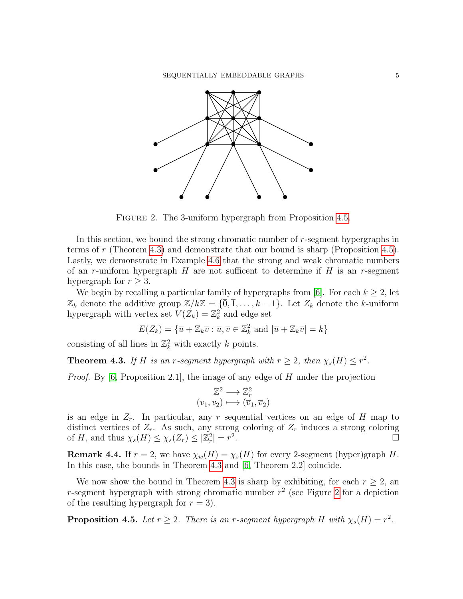

<span id="page-4-2"></span>FIGURE 2. The 3-uniform hypergraph from Proposition [4.5.](#page-4-0)

In this section, we bound the strong chromatic number of r-segment hypergraphs in terms of r (Theorem [4.3\)](#page-4-1) and demonstrate that our bound is sharp (Proposition [4.5\)](#page-4-0). Lastly, we demonstrate in Example [4.6](#page-5-7) that the strong and weak chromatic numbers of an r-uniform hypergraph H are not sufficent to determine if H is an r-segment hypergraph for  $r \geq 3$ .

We begin by recalling a particular family of hypergraphs from [\[6\]](#page-5-4). For each  $k \geq 2$ , let  $\mathbb{Z}_k$  denote the additive group  $\mathbb{Z}/k\mathbb{Z} = {\overline{0}, \overline{1}, \ldots, \overline{k-1}}$ . Let  $Z_k$  denote the k-uniform hypergraph with vertex set  $V(Z_k) = \mathbb{Z}_k^2$  and edge set

$$
E(Z_k) = \{ \overline{u} + \mathbb{Z}_k \overline{v} : \overline{u}, \overline{v} \in \mathbb{Z}_k^2 \text{ and } |\overline{u} + \mathbb{Z}_k \overline{v}| = k \}
$$

consisting of all lines in  $\mathbb{Z}_k^2$  with exactly k points.

<span id="page-4-1"></span>**Theorem 4.3.** If H is an r-segment hypergraph with  $r \geq 2$ , then  $\chi_s(H) \leq r^2$ .

*Proof.* By [\[6,](#page-5-4) Proposition 2.1], the image of any edge of H under the projection

$$
\mathbb{Z}^2 \longrightarrow \mathbb{Z}_r^2
$$

$$
(v_1, v_2) \longmapsto (\overline{v}_1, \overline{v}_2)
$$

is an edge in  $Z_r$ . In particular, any r sequential vertices on an edge of H map to distinct vertices of  $Z_r$ . As such, any strong coloring of  $Z_r$  induces a strong coloring of H, and thus  $\chi_s(H) \leq \chi_s(Z_r) \leq |\mathbb{Z}_r^2| = r^2$ .<br>.<br>.

**Remark 4.4.** If  $r = 2$ , we have  $\chi_w(H) = \chi_s(H)$  for every 2-segment (hyper)graph H. In this case, the bounds in Theorem [4.3](#page-4-1) and [\[6,](#page-5-4) Theorem 2.2] coincide.

We now show the bound in Theorem [4.3](#page-4-1) is sharp by exhibiting, for each  $r \geq 2$ , an r-segment hypergraph with strong chromatic number  $r^2$  (see Figure [2](#page-4-2) for a depiction of the resulting hypergraph for  $r = 3$ .

<span id="page-4-0"></span>**Proposition 4.5.** Let  $r \geq 2$ . There is an r-segment hypergraph H with  $\chi_s(H) = r^2$ .